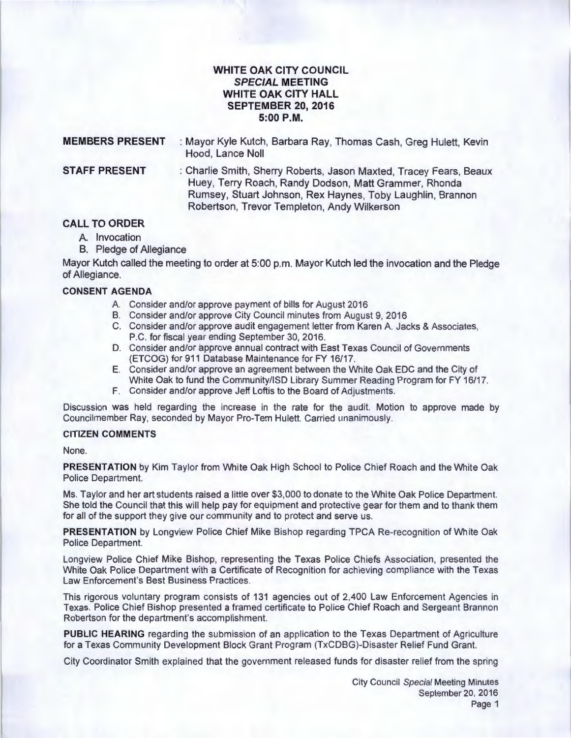## **WHITE OAK CITY COUNCIL SPECIAL MEETING WHITE OAK CITY HALL SEPTEMBER 20, 2016 5:00P.M.**

| <b>MEMBERS PRESENT</b> | : Mayor Kyle Kutch, Barbara Ray, Thomas Cash, Greg Hulett, Kevin<br>Hood, Lance Noll                                                                                                                                                     |
|------------------------|------------------------------------------------------------------------------------------------------------------------------------------------------------------------------------------------------------------------------------------|
| <b>STAFF PRESENT</b>   | : Charlie Smith, Sherry Roberts, Jason Maxted, Tracey Fears, Beaux<br>Huey, Terry Roach, Randy Dodson, Matt Grammer, Rhonda<br>Rumsey, Stuart Johnson, Rex Haynes, Toby Laughlin, Brannon<br>Robertson, Trevor Templeton, Andy Wilkerson |

# **CALL TO ORDER**

- A. Invocation
- B. Pledge of Allegiance

Mayor Kutch called the meeting to order at 5:00 p.m. Mayor Kutch led the invocation and the Pledge of Allegiance.

### **CONSENT AGENDA**

- A. Consider and/or approve payment of bills for August 2016
- B. Consider and/or approve City Council minutes from August 9, 2016
- C. Consider and/or approve audit engagement letter from Karen A. Jacks & Associates, P.C. for fiscal year ending September 30, 2016.
- D. Consider and/or approve annual contract with East Texas Council of Governments (ETCOG) for 911 Database Maintenance for FY 16/17.
- E. Consider and/or approve an agreement between the White Oak EDC and the City of White Oak to fund the Community/ISD Library Summer Reading Program for FY 16/17.
- F. Consider and/or approve Jeff Loftis to the Board of Adjustments.

Discussion was held regarding the increase in the rate for the audit. Motion to approve made by Councilmember Ray, seconded by Mayor Pro-Tem Hulett. Carried unanimously.

### **CITIZEN COMMENTS**

None.

**PRESENTATION** by Kim Taylor from White Oak High School to Police Chief Roach and the White Oak Police Department.

Ms. Taylor and her art students raised a little over \$3,000 to donate to the White Oak Police Department. She told the Council that this will help pay for equipment and protective gear for them and to thank them for all of the support they give our community and to protect and serve us.

**PRESENTATION** by Longview Police Chief Mike Bishop regarding TPCA Re-recognition of White Oak Police Department.

Longview Police Chief Mike Bishop, representing the Texas Police Chiefs Association, presented the White Oak Police Department with a Certificate of Recognition for achieving compliance with the Texas Law Enforcement's Best Business Practices.

This rigorous voluntary program consists of 131 agencies out of 2,400 Law Enforcement Agencies in Texas. Police Chief Bishop presented a framed certificate to Police Chief Roach and Sergeant Brannon Robertson for the department's accomplishment.

**PUBLIC HEARING** regarding the submission of an application to the Texas Department of Agriculture for a Texas Community Development Block Grant Program (TxCDBG)-Disaster Relief Fund Grant.

City Coordinator Smith explained that the government released funds for disaster relief from the spring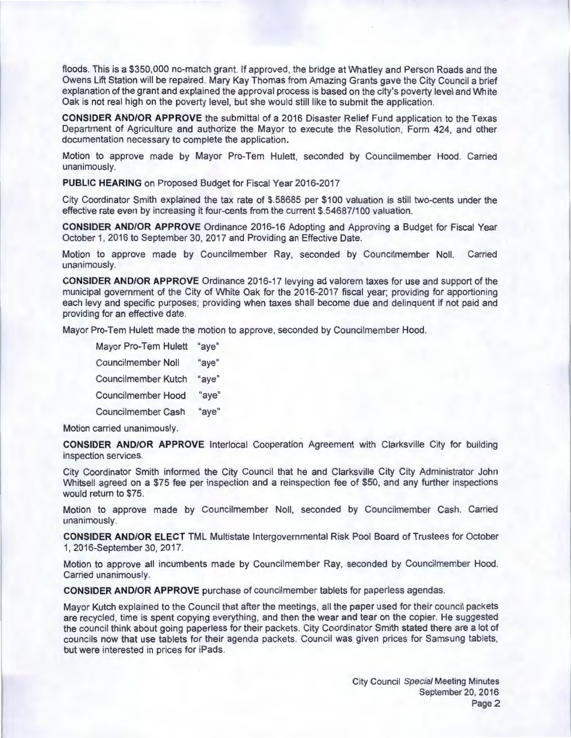floods. This is a \$350,000 no-match grant. If approved, the bridge at Whatley and Person Roads and the Owens Lift Station will be repaired. Mary Kay Thomas from Amazing Grants gave the City Council a brief explanation of the grant and explained the approval process is based on the city's poverty level and White Oak is not real high on the poverty level, but she would still like to submit the application.

**CONSIDER AND/OR APPROVE** the submittal of a 2016 Disaster Relief Fund application to the Texas Department of Agriculture and authorize the Mayor to execute the Resolution, Form 424, and other documentation necessary to complete the application.

Motion to approve made by Mayor Pro-Tem Hulett, seconded by Councilmember Hood. Carried unanimously.

**PUBLIC HEARING** on Proposed Budget for Fiscal Year 2016-2017

City Coordinator Smith explained the tax rate of \$.58685 per \$100 valuation is still two-cents under the effective rate even by increasing it four-cents from the current \$.54687/100 valuation.

**CONSIDER AND/OR APPROVE** Ordinance 2016-16 Adopting and Approving a Budget for Fiscal Year October 1, 2016 to September 30, 2017 and Providing an Effective Date.

Motion to approve made by Councilmember Ray, seconded by Councilmember Noll. Carried unanimously.

**CONSIDER AND/OR APPROVE** Ordinance 2016-17 levying ad valorem taxes for use and support of the municipal government of the City of White Oak for the 2016-2017 fiscal year; providing for apportioning each levy and specific purposes; providing when taxes shall become due and delinquent if not paid and providing for an effective date.

Mayor Pro-Tem Hulett made the motion to approve, seconded by Councilmember Hood.

Mayor Pro-Tem Hulett "aye" Councilmember Noll "aye" Councilmember Kutch "aye" Councilmember Hood "aye" Councilmember Cash "aye"

Motion carried unanimously.

**CONSIDER AND/OR APPROVE** lnterlocal Cooperation Agreement with Clarksville City for building inspection services.

City Coordinator Smith informed the City Council that he and Clarksville City City Administrator John Whitsell agreed on a \$75 fee per inspection and a reinspection fee of \$50, and any further inspections would return to \$75.

Motion to approve made by Councilmember Noll, seconded by Councilmember Cash. Carried unanimously.

**CONSIDER AND/OR ELECT** TML Multistate Intergovernmental Risk Pool Board of Trustees for October 1, 2016-September 30, 2017.

Motion to approve all incumbents made by Councilmember Ray, seconded by Councilmember Hood. Carried unanimously.

**CONSIDER AND/OR APPROVE** purchase of councilmember tablets for paperless agendas.

Mayor Kutch explained to the Council that after the meetings, all the paper used for their council packets are recycled, time is spent copying everything, and then the wear and tear on the copier. He suggested the council think about going paperless for their packets. City Coordinator Smith stated there are a lot of councils now that use tablets for their agenda packets. Council was given prices for Samsung tablets, but were interested in prices for iPads.